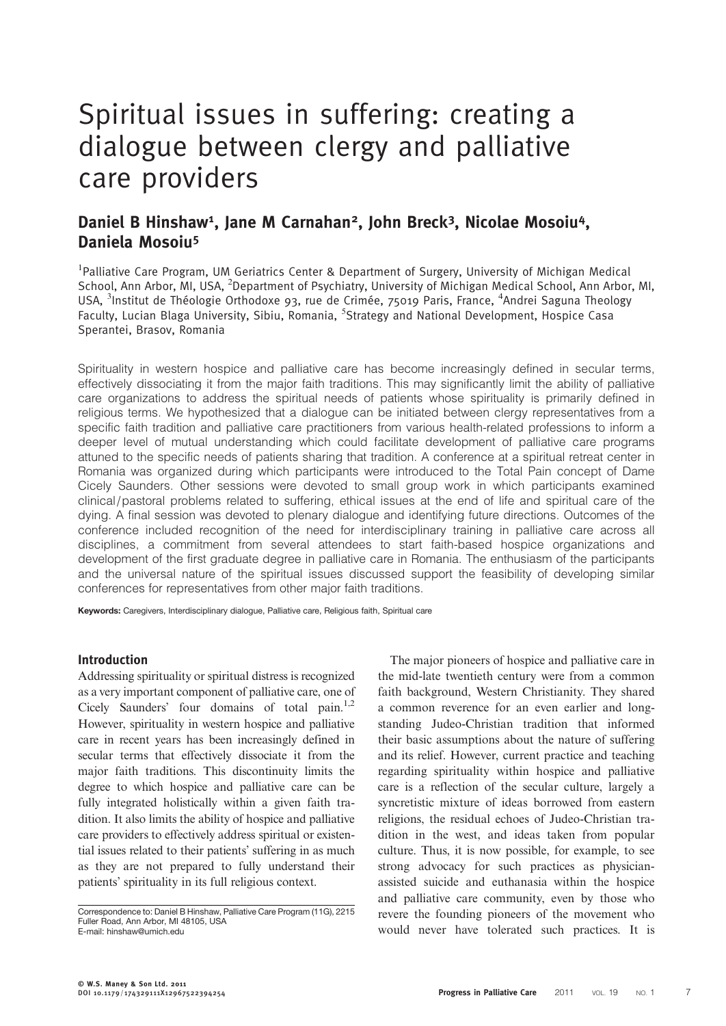# Spiritual issues in suffering: creating a dialogue between clergy and palliative care providers

# Daniel B Hinshaw<sup>1</sup>, Jane M Carnahan<sup>2</sup>, John Breck<sup>3</sup>, Nicolae Mosoiu<sup>4</sup>, Daniela Mosoiu5

<sup>1</sup>Palliative Care Program, UM Geriatrics Center & Department of Surgery, University of Michigan Medical School, Ann Arbor, MI, USA, <sup>2</sup>Department of Psychiatry, University of Michigan Medical School, Ann Arbor, MI, USA, <sup>3</sup>Institut de Théologie Orthodoxe 93, rue de Crimée, 75019 Paris, France, <sup>4</sup>Andrei Saguna Theology Faculty, Lucian Blaga University, Sibiu, Romania, <sup>5</sup>Strategy and National Development, Hospice Casa Sperantei, Brasov, Romania

Spirituality in western hospice and palliative care has become increasingly defined in secular terms, effectively dissociating it from the major faith traditions. This may significantly limit the ability of palliative care organizations to address the spiritual needs of patients whose spirituality is primarily defined in religious terms. We hypothesized that a dialogue can be initiated between clergy representatives from a specific faith tradition and palliative care practitioners from various health-related professions to inform a deeper level of mutual understanding which could facilitate development of palliative care programs attuned to the specific needs of patients sharing that tradition. A conference at a spiritual retreat center in Romania was organized during which participants were introduced to the Total Pain concept of Dame Cicely Saunders. Other sessions were devoted to small group work in which participants examined clinical/pastoral problems related to suffering, ethical issues at the end of life and spiritual care of the dying. A final session was devoted to plenary dialogue and identifying future directions. Outcomes of the conference included recognition of the need for interdisciplinary training in palliative care across all disciplines, a commitment from several attendees to start faith-based hospice organizations and development of the first graduate degree in palliative care in Romania. The enthusiasm of the participants and the universal nature of the spiritual issues discussed support the feasibility of developing similar conferences for representatives from other major faith traditions.

Keywords: Caregivers, Interdisciplinary dialogue, Palliative care, Religious faith, Spiritual care

#### Introduction

Addressing spirituality or spiritual distress is recognized as a very important component of palliative care, one of Cicely Saunders' four domains of total pain.<sup>[1,2](#page-6-0)</sup> However, spirituality in western hospice and palliative care in recent years has been increasingly defined in secular terms that effectively dissociate it from the major faith traditions. This discontinuity limits the degree to which hospice and palliative care can be fully integrated holistically within a given faith tradition. It also limits the ability of hospice and palliative care providers to effectively address spiritual or existential issues related to their patients' suffering in as much as they are not prepared to fully understand their patients' spirituality in its full religious context.

The major pioneers of hospice and palliative care in the mid-late twentieth century were from a common faith background, Western Christianity. They shared a common reverence for an even earlier and longstanding Judeo-Christian tradition that informed their basic assumptions about the nature of suffering and its relief. However, current practice and teaching regarding spirituality within hospice and palliative care is a reflection of the secular culture, largely a syncretistic mixture of ideas borrowed from eastern religions, the residual echoes of Judeo-Christian tradition in the west, and ideas taken from popular culture. Thus, it is now possible, for example, to see strong advocacy for such practices as physicianassisted suicide and euthanasia within the hospice and palliative care community, even by those who revere the founding pioneers of the movement who would never have tolerated such practices. It is

Correspondence to: Daniel B Hinshaw, Palliative Care Program (11G), 2215 Fuller Road, Ann Arbor, MI 48105, USA E-mail: [hinshaw@umich.edu](mailto:hinshaw@umich.edu)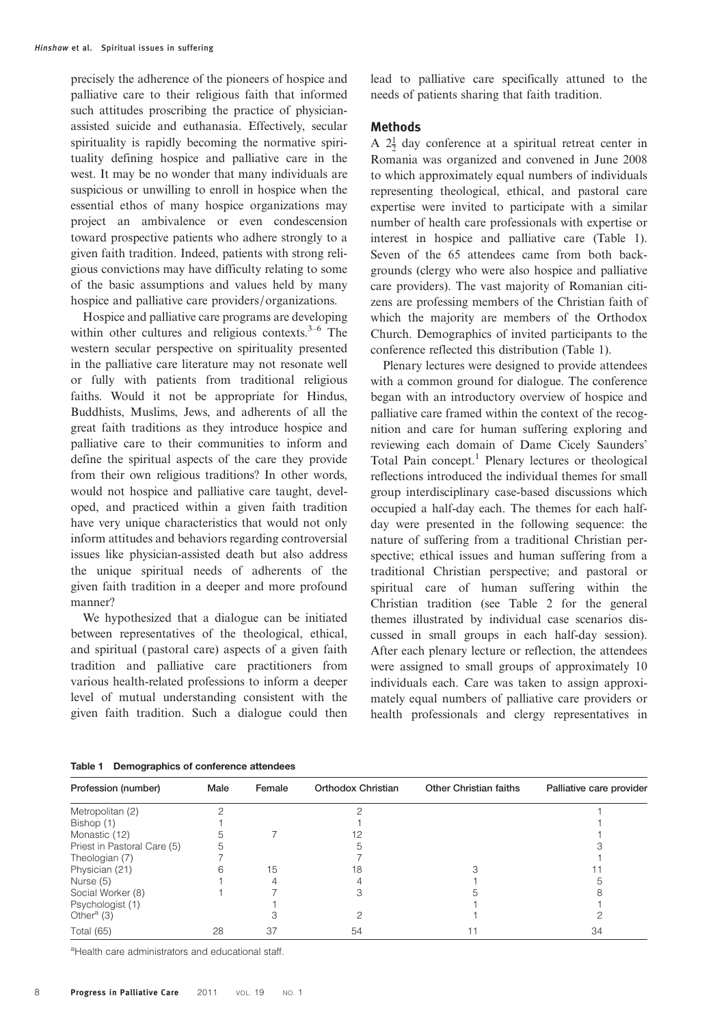precisely the adherence of the pioneers of hospice and palliative care to their religious faith that informed such attitudes proscribing the practice of physicianassisted suicide and euthanasia. Effectively, secular spirituality is rapidly becoming the normative spirituality defining hospice and palliative care in the west. It may be no wonder that many individuals are suspicious or unwilling to enroll in hospice when the essential ethos of many hospice organizations may project an ambivalence or even condescension toward prospective patients who adhere strongly to a given faith tradition. Indeed, patients with strong religious convictions may have difficulty relating to some of the basic assumptions and values held by many hospice and palliative care providers/organizations.

Hospice and palliative care programs are developing within other cultures and religious contexts. $3-6$  $3-6$  $3-6$  The western secular perspective on spirituality presented in the palliative care literature may not resonate well or fully with patients from traditional religious faiths. Would it not be appropriate for Hindus, Buddhists, Muslims, Jews, and adherents of all the great faith traditions as they introduce hospice and palliative care to their communities to inform and define the spiritual aspects of the care they provide from their own religious traditions? In other words, would not hospice and palliative care taught, developed, and practiced within a given faith tradition have very unique characteristics that would not only inform attitudes and behaviors regarding controversial issues like physician-assisted death but also address the unique spiritual needs of adherents of the given faith tradition in a deeper and more profound manner?

We hypothesized that a dialogue can be initiated between representatives of the theological, ethical, and spiritual (pastoral care) aspects of a given faith tradition and palliative care practitioners from various health-related professions to inform a deeper level of mutual understanding consistent with the given faith tradition. Such a dialogue could then

lead to palliative care specifically attuned to the needs of patients sharing that faith tradition.

#### Methods

A  $2\frac{1}{2}$  day conference at a spiritual retreat center in Romania was organized and convened in June 2008 to which approximately equal numbers of individuals representing theological, ethical, and pastoral care expertise were invited to participate with a similar number of health care professionals with expertise or interest in hospice and palliative care (Table 1). Seven of the 65 attendees came from both backgrounds (clergy who were also hospice and palliative care providers). The vast majority of Romanian citizens are professing members of the Christian faith of which the majority are members of the Orthodox Church. Demographics of invited participants to the conference reflected this distribution (Table 1).

Plenary lectures were designed to provide attendees with a common ground for dialogue. The conference began with an introductory overview of hospice and palliative care framed within the context of the recognition and care for human suffering exploring and reviewing each domain of Dame Cicely Saunders' Total Pain concept.<sup>[1](#page-6-0)</sup> Plenary lectures or theological reflections introduced the individual themes for small group interdisciplinary case-based discussions which occupied a half-day each. The themes for each halfday were presented in the following sequence: the nature of suffering from a traditional Christian perspective; ethical issues and human suffering from a traditional Christian perspective; and pastoral or spiritual care of human suffering within the Christian tradition (see Table [2](#page-2-0) for the general themes illustrated by individual case scenarios discussed in small groups in each half-day session). After each plenary lecture or reflection, the attendees were assigned to small groups of approximately 10 individuals each. Care was taken to assign approximately equal numbers of palliative care providers or health professionals and clergy representatives in

Table 1 Demographics of conference attendees

| Profession (number)         | Male          | Female | Orthodox Christian | <b>Other Christian faiths</b> | Palliative care provider |
|-----------------------------|---------------|--------|--------------------|-------------------------------|--------------------------|
| Metropolitan (2)            |               |        |                    |                               |                          |
| Bishop (1)                  |               |        |                    |                               |                          |
| Monastic (12)               |               |        |                    |                               |                          |
| Priest in Pastoral Care (5) | $\mathcal{L}$ |        |                    |                               |                          |
| Theologian (7)              |               |        |                    |                               |                          |
| Physician (21)              |               | 15     | 18                 |                               |                          |
| Nurse (5)                   |               |        |                    |                               |                          |
| Social Worker (8)           |               |        |                    |                               |                          |
| Psychologist (1)            |               |        |                    |                               |                          |
| Other <sup>a</sup> $(3)$    |               |        |                    |                               |                          |
| <b>Total (65)</b>           | 28            | 37     | 54                 |                               | 34                       |

<sup>a</sup>Health care administrators and educational staff.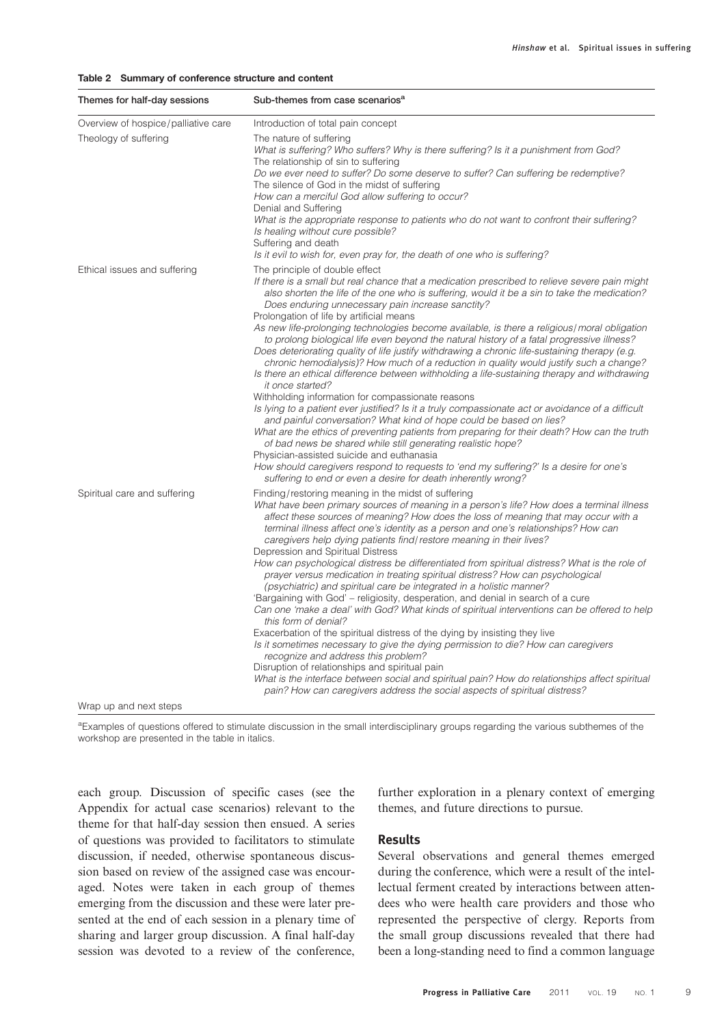#### <span id="page-2-0"></span>Table 2 Summary of conference structure and content

| Themes for half-day sessions        | Sub-themes from case scenarios <sup>"</sup><br>Introduction of total pain concept                                                                                                                                                                                                                                                                                                                                                                                                                                                                                                                                                                                                                                                                                                                                                                                                                                                                                                                                                                                                                                                                                                                                                                                                                                                                                                                                                                      |  |  |  |
|-------------------------------------|--------------------------------------------------------------------------------------------------------------------------------------------------------------------------------------------------------------------------------------------------------------------------------------------------------------------------------------------------------------------------------------------------------------------------------------------------------------------------------------------------------------------------------------------------------------------------------------------------------------------------------------------------------------------------------------------------------------------------------------------------------------------------------------------------------------------------------------------------------------------------------------------------------------------------------------------------------------------------------------------------------------------------------------------------------------------------------------------------------------------------------------------------------------------------------------------------------------------------------------------------------------------------------------------------------------------------------------------------------------------------------------------------------------------------------------------------------|--|--|--|
| Overview of hospice/palliative care |                                                                                                                                                                                                                                                                                                                                                                                                                                                                                                                                                                                                                                                                                                                                                                                                                                                                                                                                                                                                                                                                                                                                                                                                                                                                                                                                                                                                                                                        |  |  |  |
| Theology of suffering               | The nature of suffering<br>What is suffering? Who suffers? Why is there suffering? Is it a punishment from God?<br>The relationship of sin to suffering<br>Do we ever need to suffer? Do some deserve to suffer? Can suffering be redemptive?<br>The silence of God in the midst of suffering<br>How can a merciful God allow suffering to occur?<br>Denial and Suffering<br>What is the appropriate response to patients who do not want to confront their suffering?<br>Is healing without cure possible?<br>Suffering and death<br>Is it evil to wish for, even pray for, the death of one who is suffering?                                                                                                                                                                                                                                                                                                                                                                                                                                                                                                                                                                                                                                                                                                                                                                                                                                        |  |  |  |
| Ethical issues and suffering        | The principle of double effect<br>If there is a small but real chance that a medication prescribed to relieve severe pain might<br>also shorten the life of the one who is suffering, would it be a sin to take the medication?<br>Does enduring unnecessary pain increase sanctity?<br>Prolongation of life by artificial means<br>As new life-prolonging technologies become available, is there a religious/moral obligation<br>to prolong biological life even beyond the natural history of a fatal progressive illness?<br>Does deteriorating quality of life justify withdrawing a chronic life-sustaining therapy (e.g.<br>chronic hemodialysis)? How much of a reduction in quality would justify such a change?<br>Is there an ethical difference between withholding a life-sustaining therapy and withdrawing<br>it once started?<br>Withholding information for compassionate reasons<br>Is lying to a patient ever justified? Is it a truly compassionate act or avoidance of a difficult<br>and painful conversation? What kind of hope could be based on lies?<br>What are the ethics of preventing patients from preparing for their death? How can the truth<br>of bad news be shared while still generating realistic hope?<br>Physician-assisted suicide and euthanasia<br>How should caregivers respond to requests to 'end my suffering?' Is a desire for one's<br>suffering to end or even a desire for death inherently wrong? |  |  |  |
| Spiritual care and suffering        | Finding/restoring meaning in the midst of suffering<br>What have been primary sources of meaning in a person's life? How does a terminal illness<br>affect these sources of meaning? How does the loss of meaning that may occur with a<br>terminal illness affect one's identity as a person and one's relationships? How can<br>caregivers help dying patients find/restore meaning in their lives?<br>Depression and Spiritual Distress<br>How can psychological distress be differentiated from spiritual distress? What is the role of<br>prayer versus medication in treating spiritual distress? How can psychological<br>(psychiatric) and spiritual care be integrated in a holistic manner?<br>'Bargaining with God' – religiosity, desperation, and denial in search of a cure<br>Can one 'make a deal' with God? What kinds of spiritual interventions can be offered to help<br>this form of denial?<br>Exacerbation of the spiritual distress of the dying by insisting they live<br>Is it sometimes necessary to give the dying permission to die? How can caregivers<br>recognize and address this problem?<br>Disruption of relationships and spiritual pain<br>What is the interface between social and spiritual pain? How do relationships affect spiritual<br>pain? How can caregivers address the social aspects of spiritual distress?                                                                                          |  |  |  |
| Wrap up and next steps              |                                                                                                                                                                                                                                                                                                                                                                                                                                                                                                                                                                                                                                                                                                                                                                                                                                                                                                                                                                                                                                                                                                                                                                                                                                                                                                                                                                                                                                                        |  |  |  |

aExamples of questions offered to stimulate discussion in the small interdisciplinary groups regarding the various subthemes of the workshop are presented in the table in italics.

each group. Discussion of specific cases (see the Appendix for actual case scenarios) relevant to the theme for that half-day session then ensued. A series of questions was provided to facilitators to stimulate discussion, if needed, otherwise spontaneous discussion based on review of the assigned case was encouraged. Notes were taken in each group of themes emerging from the discussion and these were later presented at the end of each session in a plenary time of sharing and larger group discussion. A final half-day session was devoted to a review of the conference, further exploration in a plenary context of emerging themes, and future directions to pursue.

#### Results

Several observations and general themes emerged during the conference, which were a result of the intellectual ferment created by interactions between attendees who were health care providers and those who represented the perspective of clergy. Reports from the small group discussions revealed that there had been a long-standing need to find a common language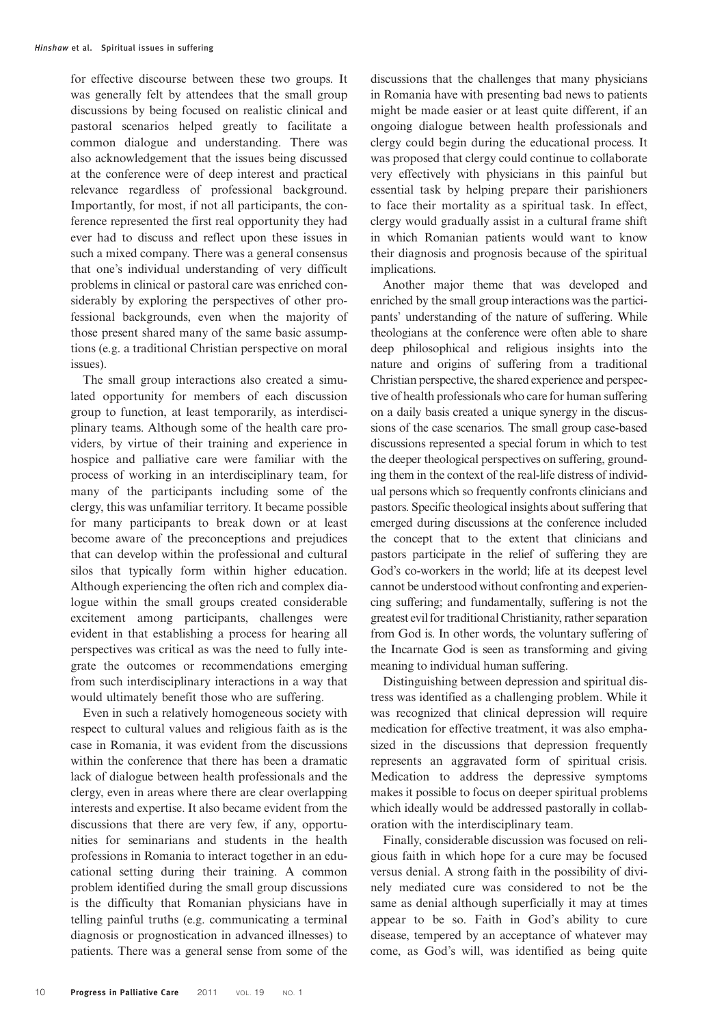for effective discourse between these two groups. It was generally felt by attendees that the small group discussions by being focused on realistic clinical and pastoral scenarios helped greatly to facilitate a common dialogue and understanding. There was also acknowledgement that the issues being discussed at the conference were of deep interest and practical relevance regardless of professional background. Importantly, for most, if not all participants, the conference represented the first real opportunity they had ever had to discuss and reflect upon these issues in such a mixed company. There was a general consensus that one's individual understanding of very difficult problems in clinical or pastoral care was enriched considerably by exploring the perspectives of other professional backgrounds, even when the majority of those present shared many of the same basic assumptions (e.g. a traditional Christian perspective on moral issues).

The small group interactions also created a simulated opportunity for members of each discussion group to function, at least temporarily, as interdisciplinary teams. Although some of the health care providers, by virtue of their training and experience in hospice and palliative care were familiar with the process of working in an interdisciplinary team, for many of the participants including some of the clergy, this was unfamiliar territory. It became possible for many participants to break down or at least become aware of the preconceptions and prejudices that can develop within the professional and cultural silos that typically form within higher education. Although experiencing the often rich and complex dialogue within the small groups created considerable excitement among participants, challenges were evident in that establishing a process for hearing all perspectives was critical as was the need to fully integrate the outcomes or recommendations emerging from such interdisciplinary interactions in a way that would ultimately benefit those who are suffering.

Even in such a relatively homogeneous society with respect to cultural values and religious faith as is the case in Romania, it was evident from the discussions within the conference that there has been a dramatic lack of dialogue between health professionals and the clergy, even in areas where there are clear overlapping interests and expertise. It also became evident from the discussions that there are very few, if any, opportunities for seminarians and students in the health professions in Romania to interact together in an educational setting during their training. A common problem identified during the small group discussions is the difficulty that Romanian physicians have in telling painful truths (e.g. communicating a terminal diagnosis or prognostication in advanced illnesses) to patients. There was a general sense from some of the

discussions that the challenges that many physicians in Romania have with presenting bad news to patients might be made easier or at least quite different, if an ongoing dialogue between health professionals and clergy could begin during the educational process. It was proposed that clergy could continue to collaborate very effectively with physicians in this painful but essential task by helping prepare their parishioners to face their mortality as a spiritual task. In effect, clergy would gradually assist in a cultural frame shift in which Romanian patients would want to know their diagnosis and prognosis because of the spiritual implications.

Another major theme that was developed and enriched by the small group interactions was the participants' understanding of the nature of suffering. While theologians at the conference were often able to share deep philosophical and religious insights into the nature and origins of suffering from a traditional Christian perspective, the shared experience and perspective of health professionals who care for human suffering on a daily basis created a unique synergy in the discussions of the case scenarios. The small group case-based discussions represented a special forum in which to test the deeper theological perspectives on suffering, grounding them in the context of the real-life distress of individual persons which so frequently confronts clinicians and pastors. Specific theological insights about suffering that emerged during discussions at the conference included the concept that to the extent that clinicians and pastors participate in the relief of suffering they are God's co-workers in the world; life at its deepest level cannot be understood without confronting and experiencing suffering; and fundamentally, suffering is not the greatest evil for traditional Christianity, rather separation from God is. In other words, the voluntary suffering of the Incarnate God is seen as transforming and giving meaning to individual human suffering.

Distinguishing between depression and spiritual distress was identified as a challenging problem. While it was recognized that clinical depression will require medication for effective treatment, it was also emphasized in the discussions that depression frequently represents an aggravated form of spiritual crisis. Medication to address the depressive symptoms makes it possible to focus on deeper spiritual problems which ideally would be addressed pastorally in collaboration with the interdisciplinary team.

Finally, considerable discussion was focused on religious faith in which hope for a cure may be focused versus denial. A strong faith in the possibility of divinely mediated cure was considered to not be the same as denial although superficially it may at times appear to be so. Faith in God's ability to cure disease, tempered by an acceptance of whatever may come, as God's will, was identified as being quite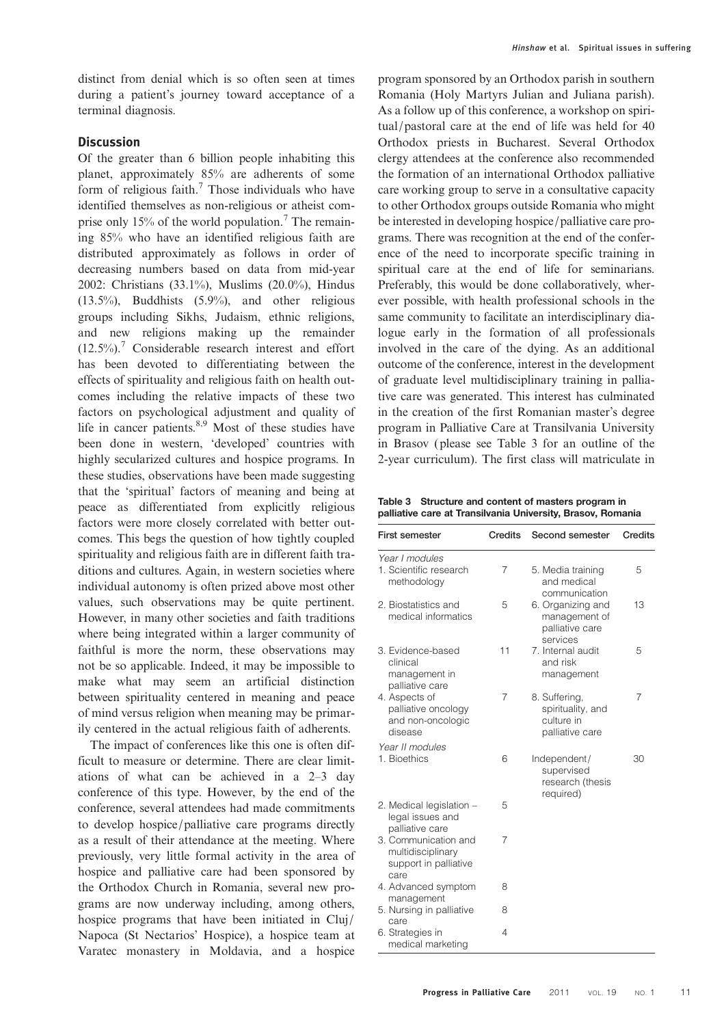distinct from denial which is so often seen at times during a patient's journey toward acceptance of a terminal diagnosis.

#### **Discussion**

Of the greater than 6 billion people inhabiting this planet, approximately 85% are adherents of some form of religious faith.<sup>[7](#page-7-0)</sup> Those individuals who have identified themselves as non-religious or atheist com-prise only 15% of the world population.<sup>[7](#page-7-0)</sup> The remaining 85% who have an identified religious faith are distributed approximately as follows in order of decreasing numbers based on data from mid-year 2002: Christians (33.1%), Muslims (20.0%), Hindus (13.5%), Buddhists (5.9%), and other religious groups including Sikhs, Judaism, ethnic religions, and new religions making up the remainder  $(12.5\%)$ .<sup>[7](#page-7-0)</sup> Considerable research interest and effort has been devoted to differentiating between the effects of spirituality and religious faith on health outcomes including the relative impacts of these two factors on psychological adjustment and quality of life in cancer patients. $8,9$  Most of these studies have been done in western, 'developed' countries with highly secularized cultures and hospice programs. In these studies, observations have been made suggesting that the 'spiritual' factors of meaning and being at peace as differentiated from explicitly religious factors were more closely correlated with better outcomes. This begs the question of how tightly coupled spirituality and religious faith are in different faith traditions and cultures. Again, in western societies where individual autonomy is often prized above most other values, such observations may be quite pertinent. However, in many other societies and faith traditions where being integrated within a larger community of faithful is more the norm, these observations may not be so applicable. Indeed, it may be impossible to make what may seem an artificial distinction between spirituality centered in meaning and peace of mind versus religion when meaning may be primarily centered in the actual religious faith of adherents.

The impact of conferences like this one is often difficult to measure or determine. There are clear limitations of what can be achieved in a 2–3 day conference of this type. However, by the end of the conference, several attendees had made commitments to develop hospice/palliative care programs directly as a result of their attendance at the meeting. Where previously, very little formal activity in the area of hospice and palliative care had been sponsored by the Orthodox Church in Romania, several new programs are now underway including, among others, hospice programs that have been initiated in Cluj/ Napoca (St Nectarios' Hospice), a hospice team at Varatec monastery in Moldavia, and a hospice

program sponsored by an Orthodox parish in southern Romania (Holy Martyrs Julian and Juliana parish). As a follow up of this conference, a workshop on spiritual/pastoral care at the end of life was held for 40 Orthodox priests in Bucharest. Several Orthodox clergy attendees at the conference also recommended the formation of an international Orthodox palliative care working group to serve in a consultative capacity to other Orthodox groups outside Romania who might be interested in developing hospice/palliative care programs. There was recognition at the end of the conference of the need to incorporate specific training in spiritual care at the end of life for seminarians. Preferably, this would be done collaboratively, wherever possible, with health professional schools in the same community to facilitate an interdisciplinary dialogue early in the formation of all professionals involved in the care of the dying. As an additional outcome of the conference, interest in the development of graduate level multidisciplinary training in palliative care was generated. This interest has culminated in the creation of the first Romanian master's degree program in Palliative Care at Transilvania University in Brasov (please see Table 3 for an outline of the 2-year curriculum). The first class will matriculate in

Table 3 Structure and content of masters program in palliative care at Transilvania University, Brasov, Romania

| First semester                                                             | Credits | Second semester                                                     | Credits |
|----------------------------------------------------------------------------|---------|---------------------------------------------------------------------|---------|
| Year I modules                                                             |         |                                                                     |         |
| 1. Scientific research<br>methodology                                      | 7       | 5. Media training<br>and medical<br>communication                   | 5       |
| 2. Biostatistics and<br>medical informatics                                | 5       | 6. Organizing and<br>management of<br>palliative care<br>services   | 13      |
| 3. Evidence-based<br>clinical<br>management in<br>palliative care          | 11      | 7. Internal audit<br>and risk<br>management                         | 5       |
| 4. Aspects of<br>palliative oncology<br>and non-oncologic<br>disease       | 7       | 8. Suffering,<br>spirituality, and<br>culture in<br>palliative care | 7       |
| Year II modules<br>1. Bioethics                                            | 6       | Independent/<br>supervised<br>research (thesis<br>required)         | 30      |
| 2. Medical legislation -<br>legal issues and<br>palliative care            | 5       |                                                                     |         |
| 3. Communication and<br>multidisciplinary<br>support in palliative<br>care | 7       |                                                                     |         |
| 4. Advanced symptom<br>management                                          | 8       |                                                                     |         |
| 5. Nursing in palliative<br>care                                           | 8       |                                                                     |         |
| 6. Strategies in<br>medical marketing                                      | 4       |                                                                     |         |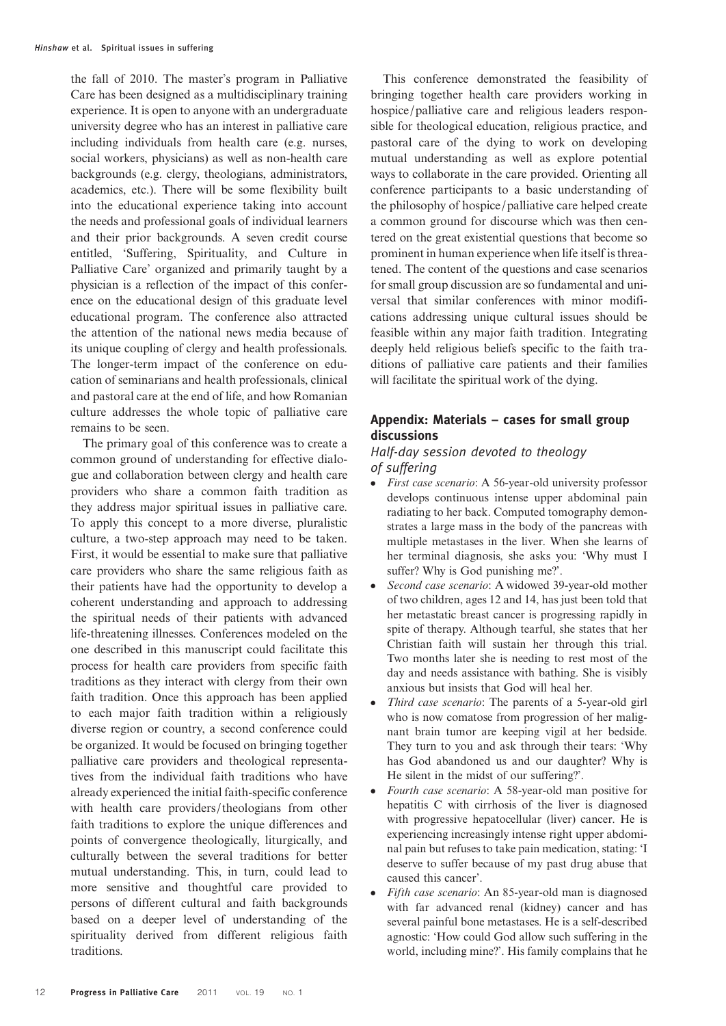the fall of 2010. The master's program in Palliative Care has been designed as a multidisciplinary training experience. It is open to anyone with an undergraduate university degree who has an interest in palliative care including individuals from health care (e.g. nurses, social workers, physicians) as well as non-health care backgrounds (e.g. clergy, theologians, administrators, academics, etc.). There will be some flexibility built into the educational experience taking into account the needs and professional goals of individual learners and their prior backgrounds. A seven credit course entitled, 'Suffering, Spirituality, and Culture in Palliative Care' organized and primarily taught by a physician is a reflection of the impact of this conference on the educational design of this graduate level educational program. The conference also attracted the attention of the national news media because of its unique coupling of clergy and health professionals. The longer-term impact of the conference on education of seminarians and health professionals, clinical and pastoral care at the end of life, and how Romanian culture addresses the whole topic of palliative care remains to be seen.

The primary goal of this conference was to create a common ground of understanding for effective dialogue and collaboration between clergy and health care providers who share a common faith tradition as they address major spiritual issues in palliative care. To apply this concept to a more diverse, pluralistic culture, a two-step approach may need to be taken. First, it would be essential to make sure that palliative care providers who share the same religious faith as their patients have had the opportunity to develop a coherent understanding and approach to addressing the spiritual needs of their patients with advanced life-threatening illnesses. Conferences modeled on the one described in this manuscript could facilitate this process for health care providers from specific faith traditions as they interact with clergy from their own faith tradition. Once this approach has been applied to each major faith tradition within a religiously diverse region or country, a second conference could be organized. It would be focused on bringing together palliative care providers and theological representatives from the individual faith traditions who have already experienced the initial faith-specific conference with health care providers/theologians from other faith traditions to explore the unique differences and points of convergence theologically, liturgically, and culturally between the several traditions for better mutual understanding. This, in turn, could lead to more sensitive and thoughtful care provided to persons of different cultural and faith backgrounds based on a deeper level of understanding of the spirituality derived from different religious faith traditions.

This conference demonstrated the feasibility of bringing together health care providers working in hospice/palliative care and religious leaders responsible for theological education, religious practice, and pastoral care of the dying to work on developing mutual understanding as well as explore potential ways to collaborate in the care provided. Orienting all conference participants to a basic understanding of the philosophy of hospice/palliative care helped create a common ground for discourse which was then centered on the great existential questions that become so prominent in human experience when life itself is threatened. The content of the questions and case scenarios for small group discussion are so fundamental and universal that similar conferences with minor modifications addressing unique cultural issues should be feasible within any major faith tradition. Integrating deeply held religious beliefs specific to the faith traditions of palliative care patients and their families will facilitate the spiritual work of the dying.

#### Appendix: Materials – cases for small group discussions

#### Half-day session devoted to theology of suffering

- First case scenario: A 56-year-old university professor develops continuous intense upper abdominal pain radiating to her back. Computed tomography demonstrates a large mass in the body of the pancreas with multiple metastases in the liver. When she learns of her terminal diagnosis, she asks you: 'Why must I suffer? Why is God punishing me?'.
- Second case scenario: A widowed 39-year-old mother of two children, ages 12 and 14, has just been told that her metastatic breast cancer is progressing rapidly in spite of therapy. Although tearful, she states that her Christian faith will sustain her through this trial. Two months later she is needing to rest most of the day and needs assistance with bathing. She is visibly anxious but insists that God will heal her.
- Third case scenario: The parents of a 5-year-old girl who is now comatose from progression of her malignant brain tumor are keeping vigil at her bedside. They turn to you and ask through their tears: 'Why has God abandoned us and our daughter? Why is He silent in the midst of our suffering?'.
- Fourth case scenario: A 58-year-old man positive for hepatitis C with cirrhosis of the liver is diagnosed with progressive hepatocellular (liver) cancer. He is experiencing increasingly intense right upper abdominal pain but refuses to take pain medication, stating: 'I deserve to suffer because of my past drug abuse that caused this cancer'.
- Fifth case scenario: An 85-year-old man is diagnosed with far advanced renal (kidney) cancer and has several painful bone metastases. He is a self-described agnostic: 'How could God allow such suffering in the world, including mine?'. His family complains that he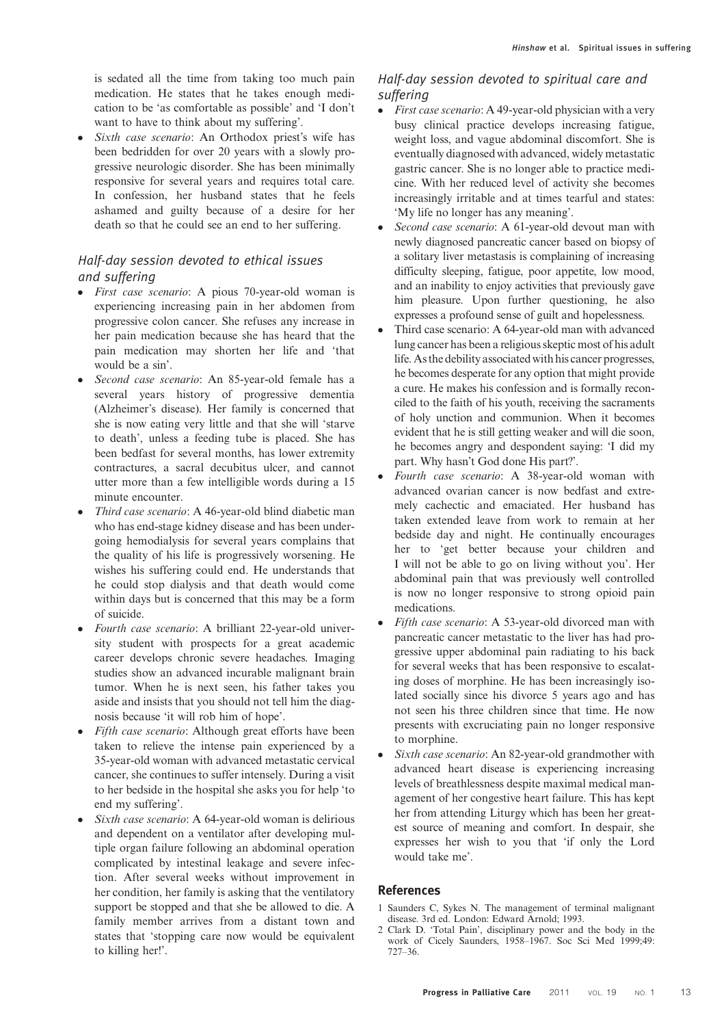<span id="page-6-0"></span>is sedated all the time from taking too much pain medication. He states that he takes enough medication to be 'as comfortable as possible' and 'I don't want to have to think about my suffering'.

Sixth case scenario: An Orthodox priest's wife has been bedridden for over 20 years with a slowly progressive neurologic disorder. She has been minimally responsive for several years and requires total care. In confession, her husband states that he feels ashamed and guilty because of a desire for her death so that he could see an end to her suffering.

# Half-day session devoted to ethical issues and suffering

- First case scenario: A pious 70-year-old woman is experiencing increasing pain in her abdomen from progressive colon cancer. She refuses any increase in her pain medication because she has heard that the pain medication may shorten her life and 'that would be a sin'.
- Second case scenario: An 85-year-old female has a several years history of progressive dementia (Alzheimer's disease). Her family is concerned that she is now eating very little and that she will 'starve to death', unless a feeding tube is placed. She has been bedfast for several months, has lower extremity contractures, a sacral decubitus ulcer, and cannot utter more than a few intelligible words during a 15 minute encounter.
- Third case scenario: A 46-year-old blind diabetic man who has end-stage kidney disease and has been undergoing hemodialysis for several years complains that the quality of his life is progressively worsening. He wishes his suffering could end. He understands that he could stop dialysis and that death would come within days but is concerned that this may be a form of suicide.
- Fourth case scenario: A brilliant 22-year-old university student with prospects for a great academic career develops chronic severe headaches. Imaging studies show an advanced incurable malignant brain tumor. When he is next seen, his father takes you aside and insists that you should not tell him the diagnosis because 'it will rob him of hope'.
- Fifth case scenario: Although great efforts have been taken to relieve the intense pain experienced by a 35-year-old woman with advanced metastatic cervical cancer, she continues to suffer intensely. During a visit to her bedside in the hospital she asks you for help 'to end my suffering'.
- Sixth case scenario: A 64-year-old woman is delirious and dependent on a ventilator after developing multiple organ failure following an abdominal operation complicated by intestinal leakage and severe infection. After several weeks without improvement in her condition, her family is asking that the ventilatory support be stopped and that she be allowed to die. A family member arrives from a distant town and states that 'stopping care now would be equivalent to killing her!'.

## Half-day session devoted to spiritual care and suffering

- First case scenario: A 49-year-old physician with a very busy clinical practice develops increasing fatigue, weight loss, and vague abdominal discomfort. She is eventually diagnosed with advanced, widely metastatic gastric cancer. She is no longer able to practice medicine. With her reduced level of activity she becomes increasingly irritable and at times tearful and states: 'My life no longer has any meaning'.
- Second case scenario: A 61-year-old devout man with newly diagnosed pancreatic cancer based on biopsy of a solitary liver metastasis is complaining of increasing difficulty sleeping, fatigue, poor appetite, low mood, and an inability to enjoy activities that previously gave him pleasure. Upon further questioning, he also expresses a profound sense of guilt and hopelessness.
- Third case scenario: A 64-year-old man with advanced lung cancer has been a religious skeptic most of his adult life. As the debility associated with his cancer progresses, he becomes desperate for any option that might provide a cure. He makes his confession and is formally reconciled to the faith of his youth, receiving the sacraments of holy unction and communion. When it becomes evident that he is still getting weaker and will die soon, he becomes angry and despondent saying: 'I did my part. Why hasn't God done His part?'.
- Fourth case scenario: A 38-year-old woman with advanced ovarian cancer is now bedfast and extremely cachectic and emaciated. Her husband has taken extended leave from work to remain at her bedside day and night. He continually encourages her to 'get better because your children and I will not be able to go on living without you'. Her abdominal pain that was previously well controlled is now no longer responsive to strong opioid pain medications.
- Fifth case scenario: A 53-year-old divorced man with pancreatic cancer metastatic to the liver has had progressive upper abdominal pain radiating to his back for several weeks that has been responsive to escalating doses of morphine. He has been increasingly isolated socially since his divorce 5 years ago and has not seen his three children since that time. He now presents with excruciating pain no longer responsive to morphine.
- Sixth case scenario: An 82-year-old grandmother with advanced heart disease is experiencing increasing levels of breathlessness despite maximal medical management of her congestive heart failure. This has kept her from attending Liturgy which has been her greatest source of meaning and comfort. In despair, she expresses her wish to you that 'if only the Lord would take me'.

## References

- 1 Saunders C, Sykes N. The management of terminal malignant disease. 3rd ed. London: Edward Arnold; 1993.
- 2 Clark D. 'Total Pain', disciplinary power and the body in the work of Cicely Saunders, 1958–1967. Soc Sci Med 1999;49: 727–36.